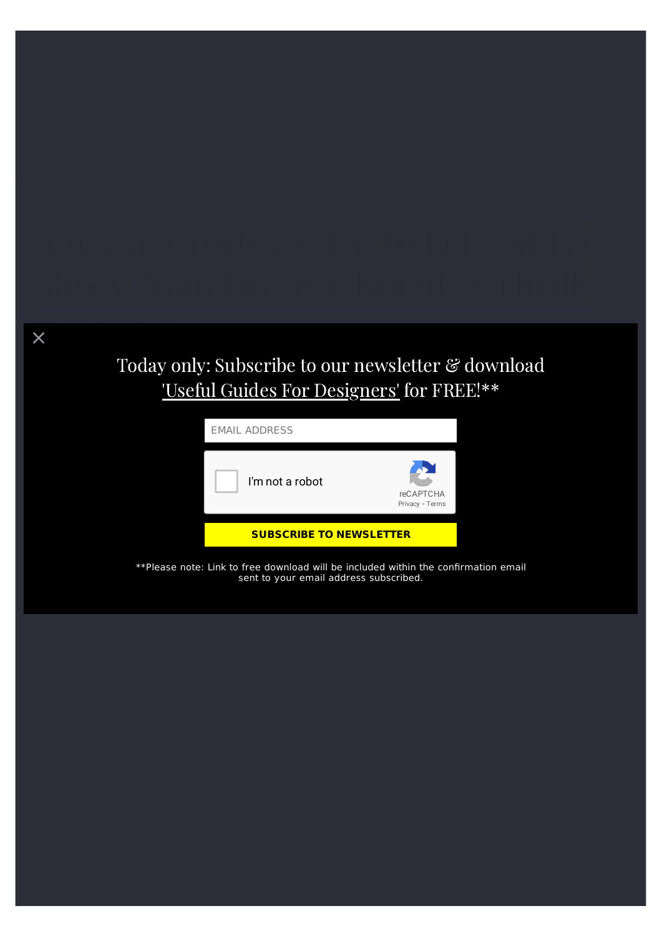### Today only: Subscribe to our newsletter & download  $\overline{S}$ '<u>Useful Guides For [Designers'](https://bza.co/buy/153402/designtaxi/useful-guides-for-designers-download-full-set?utm_source=DT_Subscribe&utm_medium=DT_Subscribe&utm_campaign=DT_Subscribe&utm_term=DT_Subscribe&utm_content=DT_Subscribe)</u> for FREE!\*\*

 $A$ dvertise [Newsletter](https://designtaxi.com/subscribe_news.php) [Shop](https://bza.co/?utm_source=DT_Header&utm_medium=DT_Header&utm_campaign=DT_Header&utm_term=DT_Header&utm_content=DT_Header) is  $A$ dvertise Newsletter Shop is  $A$ dvertise Newsletter Shop is  $A$ 

| <b>SUBSCRIBE TO NEWSLETTER</b> |                                     |
|--------------------------------|-------------------------------------|
| I'm not a robot                | <b>reCAPTCHA</b><br>Privacy - Terms |
| <b>EMAIL ADDRESS</b>           |                                     |

\*\*Please note: Link to free download will be included within the confirmation email sent to your email address subscribed.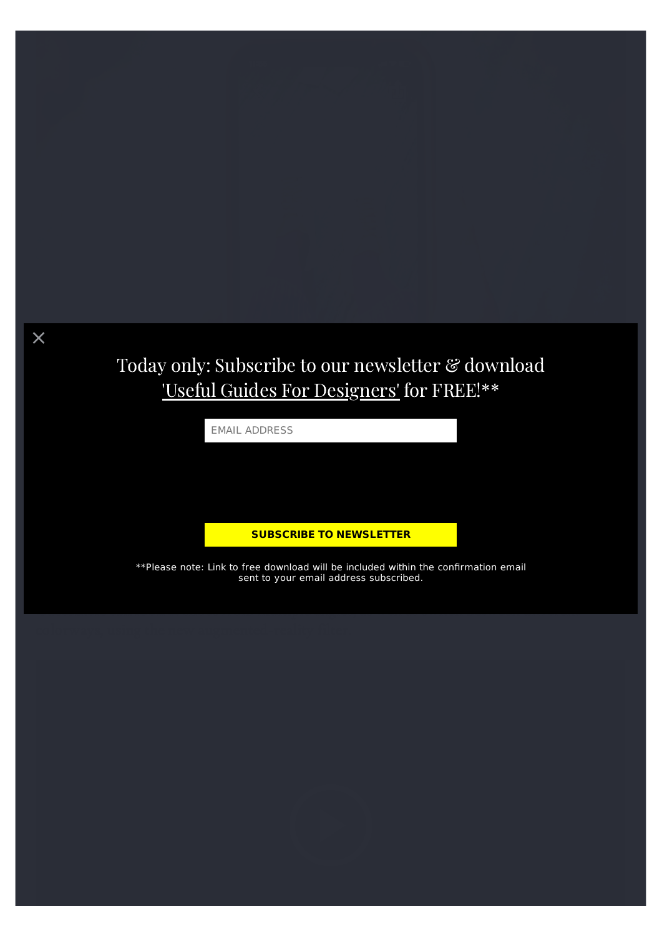## ×

# Today only: Subscribe to our newsletter & download 'Useful Guides For [Designers'](https://bza.co/buy/153402/designtaxi/useful-guides-for-designers-download-full-set?utm_source=DT_Subscribe&utm_medium=DT_Subscribe&utm_campaign=DT_Subscribe&utm_term=DT_Subscribe&utm_content=DT_Subscribe) for FREE!\*\*

EMAIL ADDRESS

#### **cart because if they would look nice on your interest on your interest giant has a set of the except on your commerce giant has a set of the except of the except of the except of the except of the except of the except of**

**Have you ever** found a pair of shoes on [Amazon](https://www.amazon.com/?&_encoding=UTF8&tag=taxidesignnet-20&linkCode=ur2&linkId=9879c67bf13a23d4612348fd54e3ea00&camp=1789&creative=9325&utm_source=DesignTAXI&utm_medium=DesignTAXI&utm_term=DesignTAXI&utm_content=DesignTAXI&utm_campaign=DesignTAXI) but resisted the urge to add them to your

the footh the commoda will be included within the from the commoda way in the model.<br>.sent to your email address subscribed. \*\*Please note: Link to free download will be included within the confirmation email

**Customers can look** at shoes from multiple angles, as well as switch between different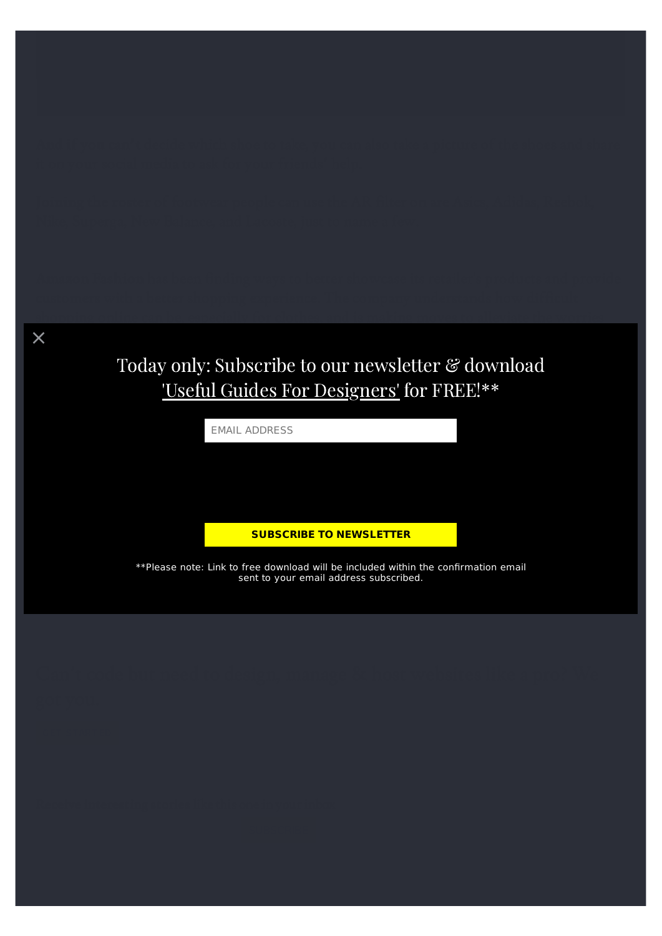### **ARE additional parameter in a high eventual brands to see starting brands to screen since the parameters** to scr '<u>Useful Guides For [Designers'](https://bza.co/buy/153402/designtaxi/useful-guides-for-designers-download-full-set?utm_source=DT_Subscribe&utm_medium=DT_Subscribe&utm_campaign=DT_Subscribe&utm_term=DT_Subscribe&utm_content=DT_Subscribe)</u> for FREE!\*\* Today only: Subscribe to our newsletter & download

shopping online can be, especially for clothes, and is making moves to alleviate the worries

EMAIL ADDRESS

features to allow users to try on clothes and makeup, too.

#### **SUBSCRIBE TO NEWSLETTER**

\*\*Please note: Link to free download will be included within the confirmation email sent to your email address subscribed.

 $\times$